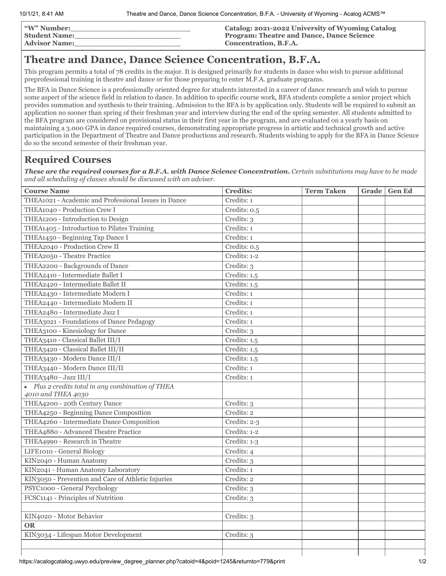| <b><i>"W"</i> Number:</b> | Catalog: 2021-2022 University of Wyoming Catalog |
|---------------------------|--------------------------------------------------|
| <b>Student Name:</b>      | <b>Program: Theatre and Dance, Dance Science</b> |
| <b>Advisor Name:</b>      | Concentration, B.F.A.                            |

## **Theatre and Dance, Dance Science Concentration, B.F.A.**

This program permits a total of 78 credits in the major. It is designed primarily for students in dance who wish to pursue additional preprofessional training in theatre and dance or for those preparing to enter M.F.A. graduate programs.

The BFA in Dance Science is a professionally oriented degree for students interested in a career of dance research and wish to pursue some aspect of the science field in relation to dance. In addition to specific course work, BFA students complete a senior project which provides summation and synthesis to their training. Admission to the BFA is by application only. Students will be required to submit an application no sooner than spring of their freshman year and interview during the end of the spring semester. All students admitted to the BFA program are considered on provisional status in their first year in the program, and are evaluated on a yearly basis on maintaining a 3.000 GPA in dance required courses, demonstrating appropriate progress in artistic and technical growth and active participation in the Department of Theatre and Dance productions and research. Students wishing to apply for the BFA in Dance Science do so the second semester of their freshman year.

## **Required Courses**

*These are the required courses for a B.F.A. with Dance Science Concentration. Certain substitutions may have to be made and all scheduling of classes should be discussed with an adviser.*

| <b>Course Name</b>                                                      | <b>Credits:</b>          | <b>Term Taken</b> | Grade   Gen Ed |
|-------------------------------------------------------------------------|--------------------------|-------------------|----------------|
| THEA1021 - Academic and Professional Issues in Dance                    | Credits: 1               |                   |                |
| THEA1040 - Production Crew I                                            | Credits: 0.5             |                   |                |
| THEA1200 - Introduction to Design                                       | Credits: 3               |                   |                |
| THEA1405 - Introduction to Pilates Training                             | Credits: 1               |                   |                |
| THEA1450 - Beginning Tap Dance I                                        | Credits: 1               |                   |                |
| THEA2040 - Production Crew II                                           | Credits: 0.5             |                   |                |
| THEA2050 - Theatre Practice                                             | Credits: 1-2             |                   |                |
| THEA2200 - Backgrounds of Dance                                         | Credits: 3               |                   |                |
| THEA2410 - Intermediate Ballet I                                        | Credits: 1.5             |                   |                |
| THEA2420 - Intermediate Ballet II                                       | Credits: 1.5             |                   |                |
| THEA2430 - Intermediate Modern I                                        | Credits: 1               |                   |                |
| THEA2440 - Intermediate Modern II                                       | Credits: 1               |                   |                |
| THEA2480 - Intermediate Jazz I                                          | Credits: 1               |                   |                |
| THEA3021 - Foundations of Dance Pedagogy                                | Credits: 1               |                   |                |
| THEA3100 - Kinesiology for Dance                                        | $\overline{C}$ redits: 3 |                   |                |
| THEA3410 - Classical Ballet III/I                                       | Credits: 1.5             |                   |                |
| THEA3420 - Classical Ballet III/II                                      | Credits: 1.5             |                   |                |
| THEA3430 - Modern Dance III/I                                           | Credits: 1.5             |                   |                |
| THEA3440 - Modern Dance III/II                                          | Credits: 1               |                   |                |
| THEA3480 - Jazz III/I                                                   | Credits: 1               |                   |                |
| • Plus 2 credits total in any combination of THEA<br>4010 and THEA 4030 |                          |                   |                |
| THEA4200 - 20th Century Dance                                           | Credits: 3               |                   |                |
| THEA4250 - Beginning Dance Composition                                  | Credits: 2               |                   |                |
| THEA4260 - Intermediate Dance Composition                               | Credits: 2-3             |                   |                |
| THEA4880 - Advanced Theatre Practice                                    | Credits: 1-2             |                   |                |
| THEA4990 - Research in Theatre                                          | Credits: 1-3             |                   |                |
| LIFE1010 - General Biology                                              | Credits: 4               |                   |                |
| KIN2040 - Human Anatomy                                                 | $C$ redits: 3            |                   |                |
| KIN2041 - Human Anatomy Laboratory                                      | Credits: 1               |                   |                |
| KIN3050 - Prevention and Care of Athletic Injuries                      | Credits: 2               |                   |                |
| PSYC1000 - General Psychology                                           | Credits: 3               |                   |                |
| FCSC1141 - Principles of Nutrition                                      | Credits: 3               |                   |                |
|                                                                         |                          |                   |                |
| KIN4020 - Motor Behavior                                                | Credits: 3               |                   |                |
| <b>OR</b>                                                               |                          |                   |                |
| KIN3034 - Lifespan Motor Development                                    | Credits: 3               |                   |                |
|                                                                         |                          |                   |                |
|                                                                         |                          |                   |                |